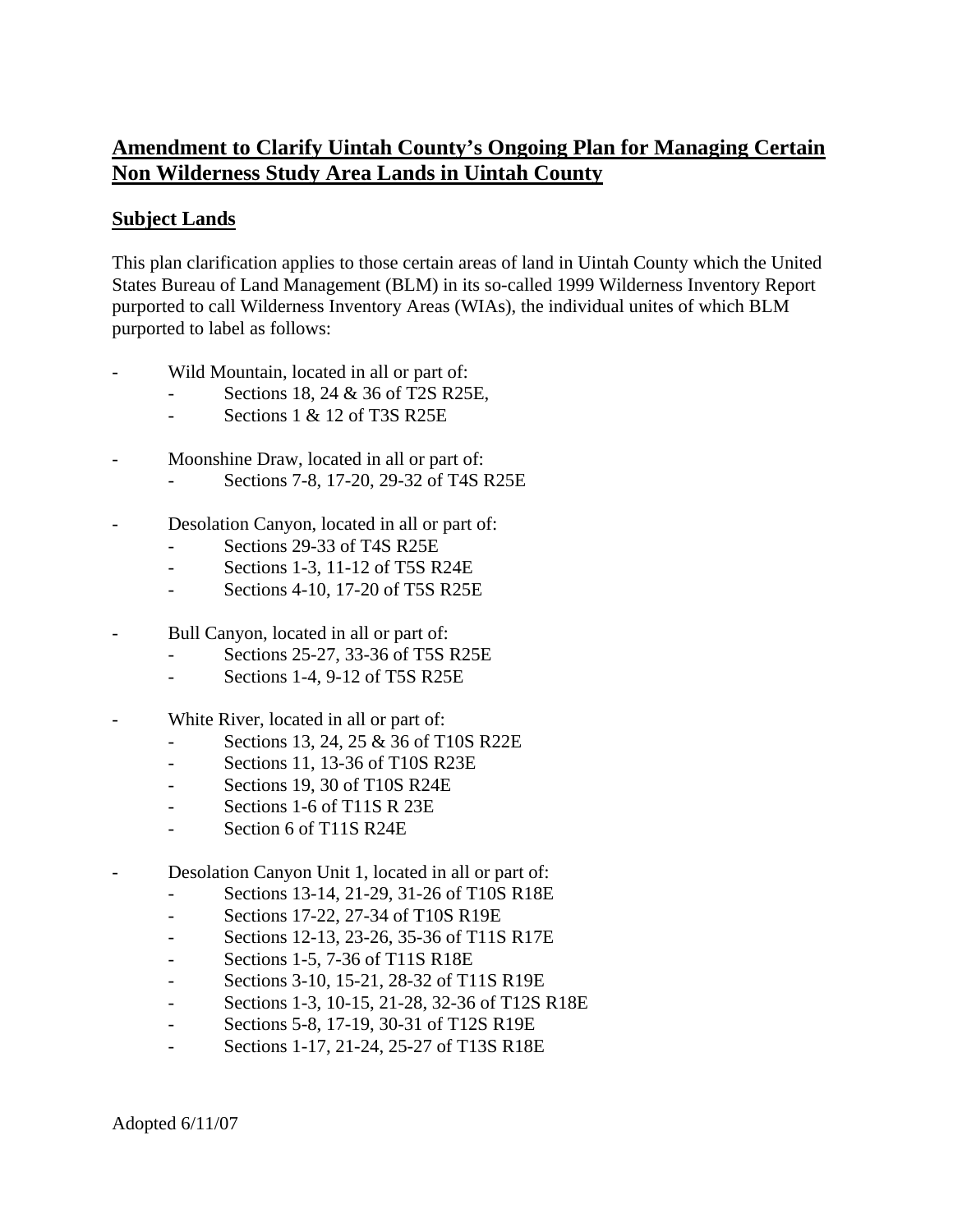## **Amendment to Clarify Uintah County's Ongoing Plan for Managing Certain Non Wilderness Study Area Lands in Uintah County**

## **Subject Lands**

This plan clarification applies to those certain areas of land in Uintah County which the United States Bureau of Land Management (BLM) in its so-called 1999 Wilderness Inventory Report purported to call Wilderness Inventory Areas (WIAs), the individual unites of which BLM purported to label as follows:

- Wild Mountain, located in all or part of:
	- Sections 18, 24 & 36 of T2S R25E,
	- $-$  Sections 1 & 12 of T3S R25E
- Moonshine Draw, located in all or part of:
	- Sections 7-8, 17-20, 29-32 of T4S R25E
- Desolation Canyon, located in all or part of:
	- Sections 29-33 of T4S R25E
	- Sections 1-3, 11-12 of T5S R24E
	- Sections 4-10, 17-20 of T5S R25E
- Bull Canyon, located in all or part of:
	- Sections 25-27, 33-36 of T5S R25E
	- Sections 1-4, 9-12 of T5S R25E
- White River, located in all or part of:
	- Sections 13, 24, 25 & 36 of T10S R22E
	- Sections 11, 13-36 of T10S R23E
	- Sections 19, 30 of T10S R24E
	- Sections 1-6 of T11S R 23E
	- Section 6 of T11S R24E
- Desolation Canyon Unit 1, located in all or part of:
	- Sections 13-14, 21-29, 31-26 of T10S R18E
		- Sections 17-22, 27-34 of T10S R19E
		- Sections 12-13, 23-26, 35-36 of T11S R17E
		- Sections 1-5, 7-36 of T11S R18E
		- Sections 3-10, 15-21, 28-32 of T11S R19E
		- Sections 1-3, 10-15, 21-28, 32-36 of T12S R18E
		- Sections 5-8, 17-19, 30-31 of T12S R19E
		- Sections 1-17, 21-24, 25-27 of T13S R18E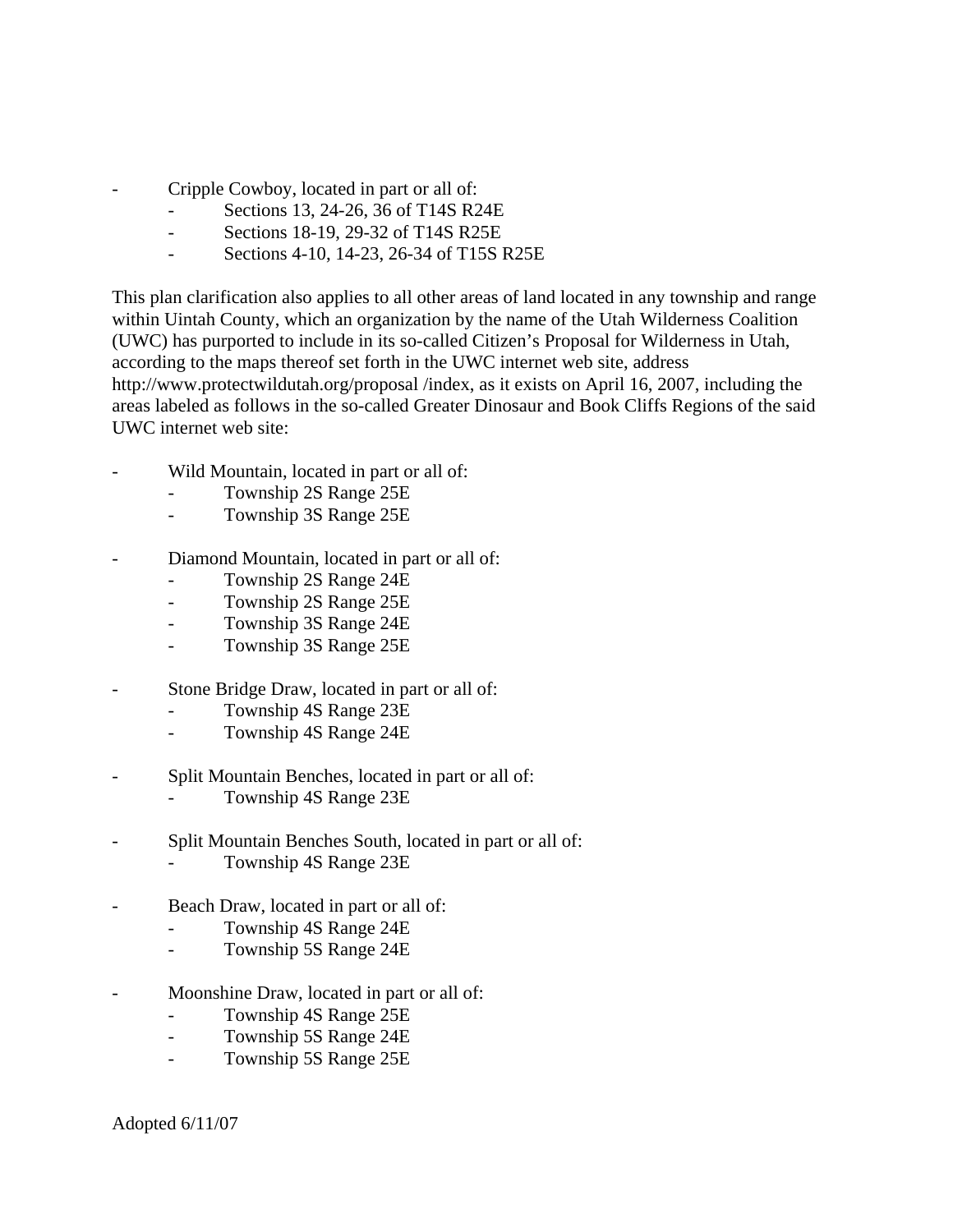- Cripple Cowboy, located in part or all of:
	- Sections 13, 24-26, 36 of T14S R24E
	- Sections 18-19, 29-32 of T14S R25E
	- Sections 4-10, 14-23, 26-34 of T15S R25E

This plan clarification also applies to all other areas of land located in any township and range within Uintah County, which an organization by the name of the Utah Wilderness Coalition (UWC) has purported to include in its so-called Citizen's Proposal for Wilderness in Utah, according to the maps thereof set forth in the UWC internet web site, address http://www.protectwildutah.org/proposal /index, as it exists on April 16, 2007, including the areas labeled as follows in the so-called Greater Dinosaur and Book Cliffs Regions of the said UWC internet web site:

- Wild Mountain, located in part or all of:
	- Township 2S Range 25E
	- Township 3S Range 25E
- Diamond Mountain, located in part or all of:
	- Township 2S Range 24E
	- Township 2S Range 25E
	- Township 3S Range 24E
	- Township 3S Range 25E
- Stone Bridge Draw, located in part or all of:
	- Township 4S Range 23E
	- Township 4S Range 24E
- Split Mountain Benches, located in part or all of:
	- Township 4S Range 23E
- Split Mountain Benches South, located in part or all of:
	- Township 4S Range 23E
- Beach Draw, located in part or all of:
	- Township 4S Range 24E
	- Township 5S Range 24E
- Moonshine Draw, located in part or all of:
	- Township 4S Range 25E
	- Township 5S Range 24E
	- Township 5S Range 25E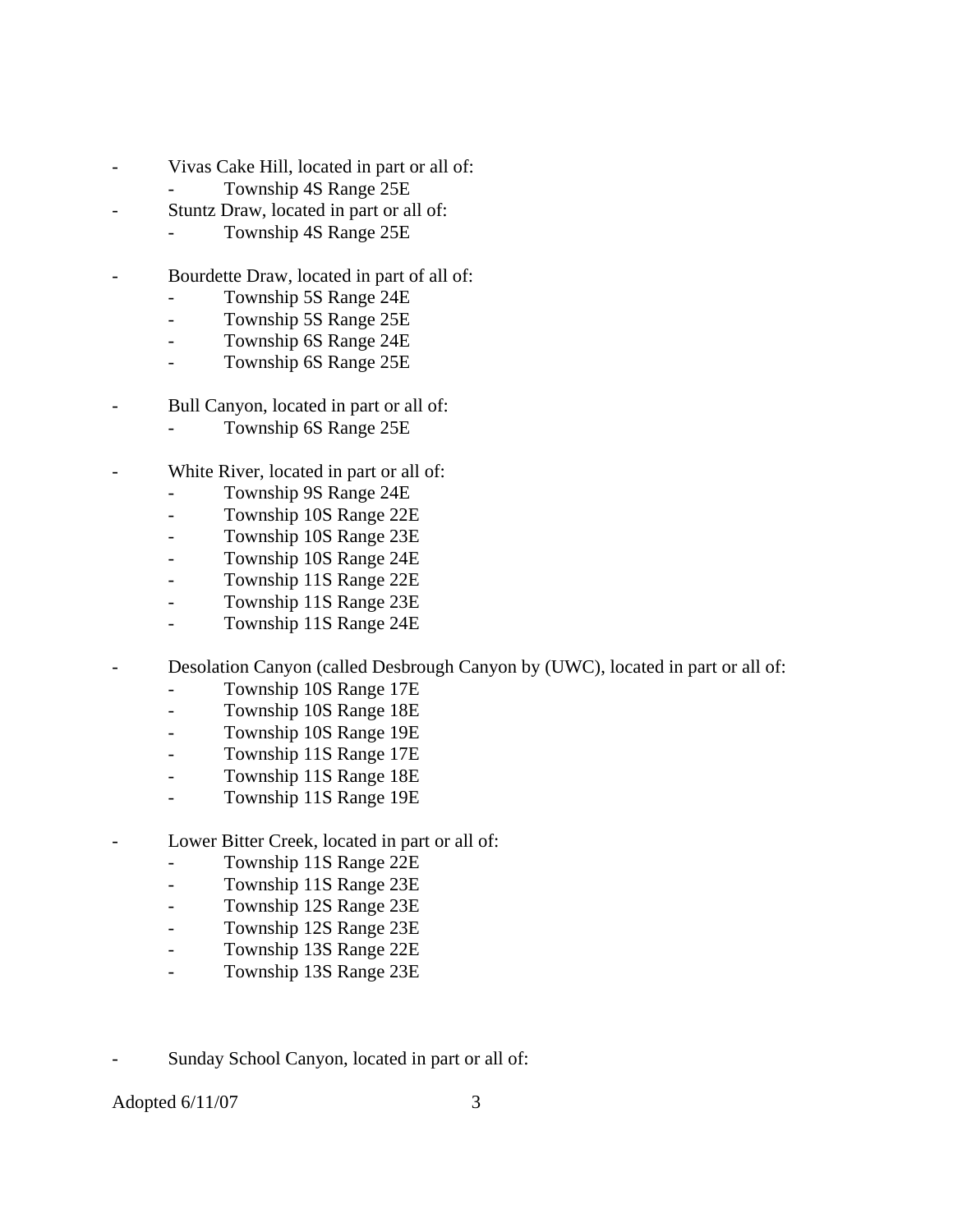- Vivas Cake Hill, located in part or all of:
	- Township 4S Range 25E
- Stuntz Draw, located in part or all of:
	- Township 4S Range 25E
- Bourdette Draw, located in part of all of:
	- Township 5S Range 24E
	- Township 5S Range 25E
	- Township 6S Range 24E
	- Township 6S Range 25E
- Bull Canyon, located in part or all of:
	- Township 6S Range 25E
- White River, located in part or all of:
	- Township 9S Range 24E
	- Township 10S Range 22E
	- Township 10S Range 23E
	- Township 10S Range 24E
	- Township 11S Range 22E
	- Township 11S Range 23E
	- Township 11S Range 24E
	- Desolation Canyon (called Desbrough Canyon by (UWC), located in part or all of:
		- Township 10S Range 17E
		- Township 10S Range 18E
		- Township 10S Range 19E
		- Township 11S Range 17E
		- Township 11S Range 18E
		- Township 11S Range 19E
- Lower Bitter Creek, located in part or all of:
	- Township 11S Range 22E
	- Township 11S Range 23E
	- Township 12S Range 23E
	- Township 12S Range 23E
	- Township 13S Range 22E
	- Township 13S Range 23E
- Sunday School Canyon, located in part or all of: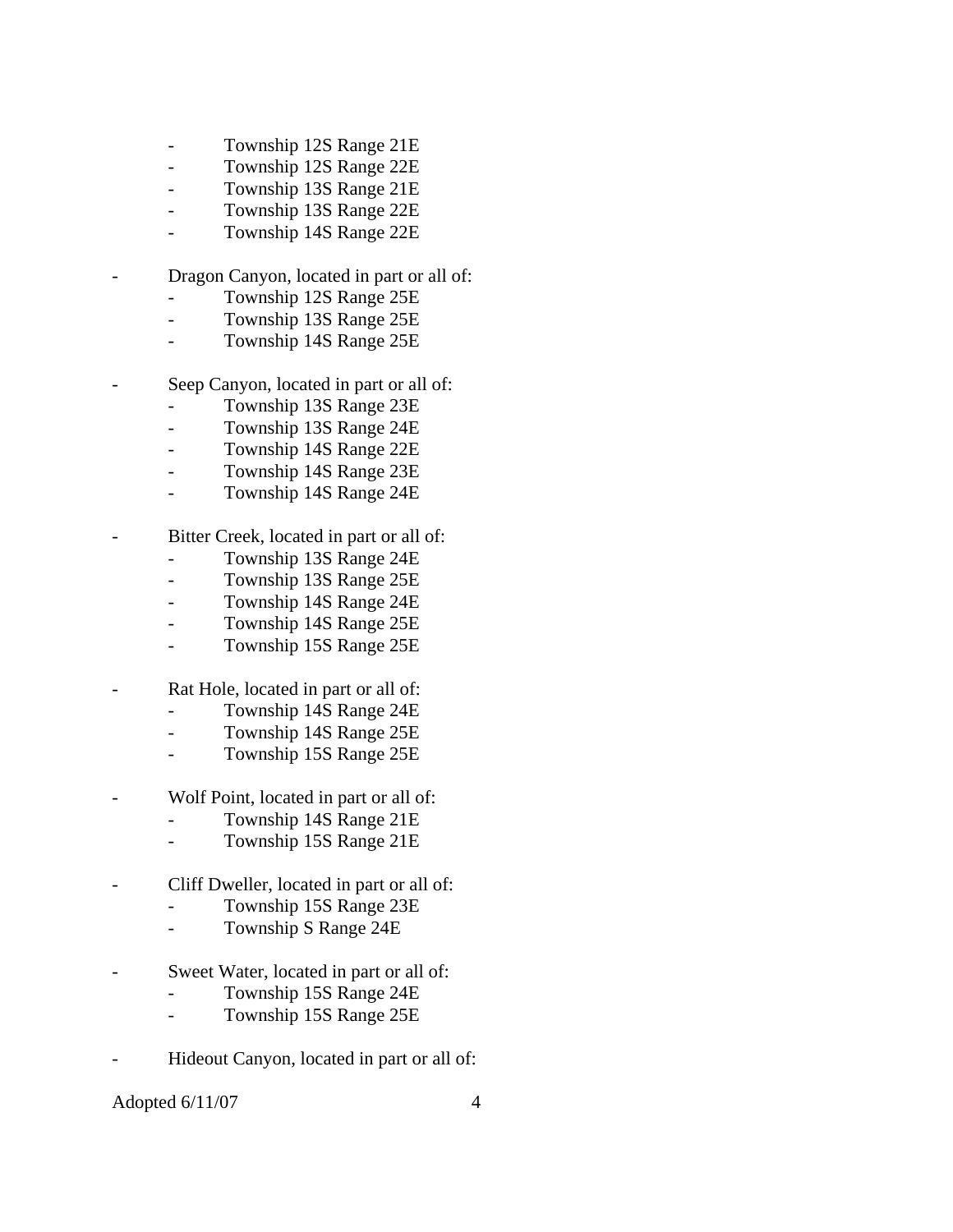- Township 12S Range 21E
- Township 12S Range 22E
- Township 13S Range 21E
- Township 13S Range 22E
- Township 14S Range 22E
- Dragon Canyon, located in part or all of:
	- Township 12S Range 25E
	- Township 13S Range 25E
	- Township 14S Range 25E
- Seep Canyon, located in part or all of:
	- Township 13S Range 23E
	- Township 13S Range 24E
	- Township 14S Range 22E
	- Township 14S Range 23E
	- Township 14S Range 24E
- Bitter Creek, located in part or all of:
	- Township 13S Range 24E
	- Township 13S Range 25E
	- Township 14S Range 24E
	- Township 14S Range 25E
	- Township 15S Range 25E
- Rat Hole, located in part or all of:
	- Township 14S Range 24E
	- Township 14S Range 25E
	- Township 15S Range 25E
- Wolf Point, located in part or all of:
	- Township 14S Range 21E
	- Township 15S Range 21E
- Cliff Dweller, located in part or all of:
	- Township 15S Range 23E
	- Township S Range 24E
- Sweet Water, located in part or all of:
	- Township 15S Range 24E
	- Township 15S Range 25E
- Hideout Canyon, located in part or all of: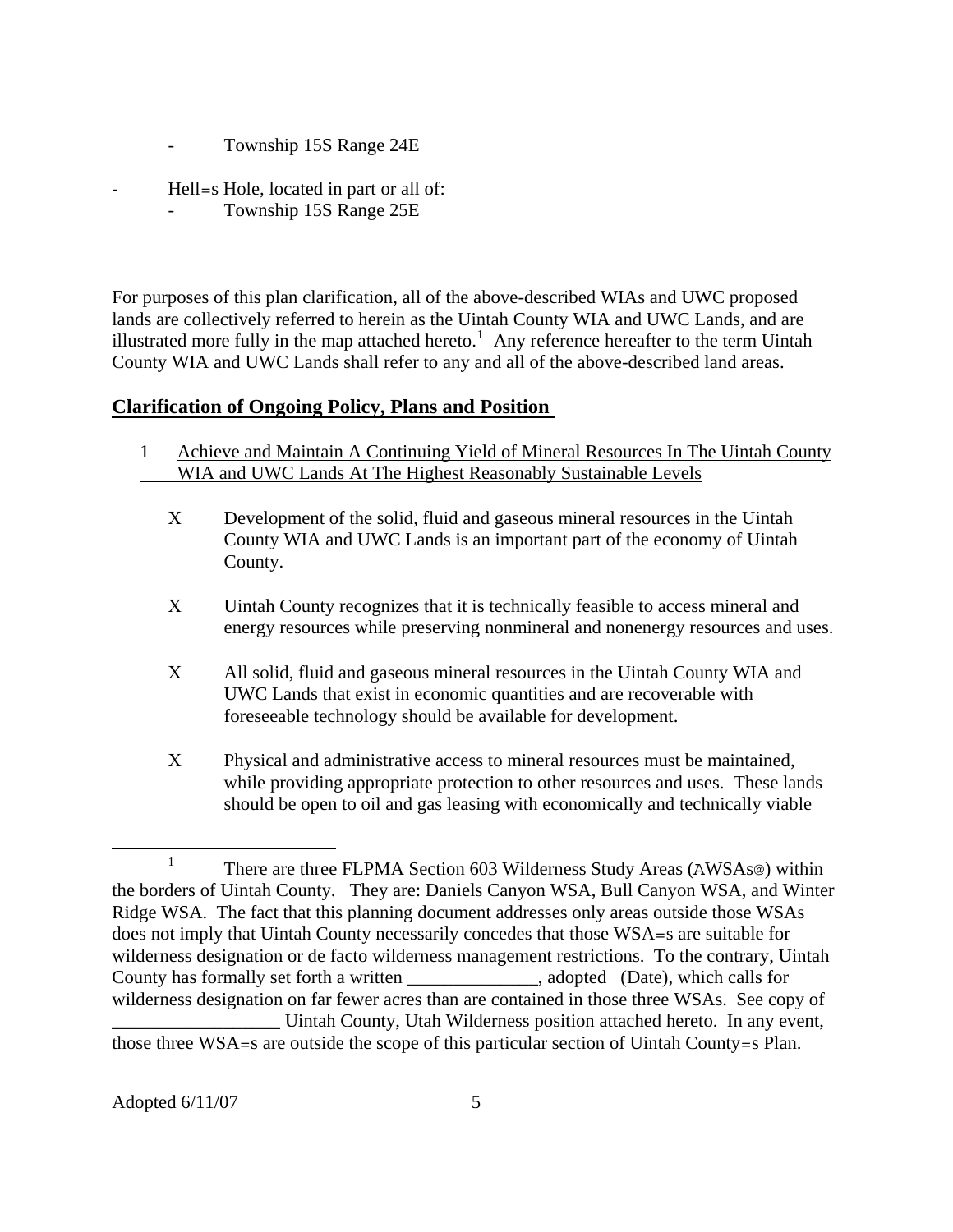- Township 15S Range 24E
- Hell=s Hole, located in part or all of:
	- Township 15S Range 25E

For purposes of this plan clarification, all of the above-described WIAs and UWC proposed lands are collectively referred to herein as the Uintah County WIA and UWC Lands, and are illustrated more fully in the map attached hereto.<sup>[1](#page-4-0)</sup> Any reference hereafter to the term Uintah County WIA and UWC Lands shall refer to any and all of the above-described land areas.

## **Clarification of Ongoing Policy, Plans and Position**

- 1 Achieve and Maintain A Continuing Yield of Mineral Resources In The Uintah County WIA and UWC Lands At The Highest Reasonably Sustainable Levels
	- Χ Development of the solid, fluid and gaseous mineral resources in the Uintah County WIA and UWC Lands is an important part of the economy of Uintah County.
	- Χ Uintah County recognizes that it is technically feasible to access mineral and energy resources while preserving nonmineral and nonenergy resources and uses.
	- Χ All solid, fluid and gaseous mineral resources in the Uintah County WIA and UWC Lands that exist in economic quantities and are recoverable with foreseeable technology should be available for development.
	- Χ Physical and administrative access to mineral resources must be maintained, while providing appropriate protection to other resources and uses. These lands should be open to oil and gas leasing with economically and technically viable

<span id="page-4-0"></span><sup>&</sup>lt;u>1</u> <sup>1</sup> There are three FLPMA Section 603 Wilderness Study Areas ( $AWSAs@$ ) within the borders of Uintah County. They are: Daniels Canyon WSA, Bull Canyon WSA, and Winter Ridge WSA. The fact that this planning document addresses only areas outside those WSAs does not imply that Uintah County necessarily concedes that those WSA=s are suitable for wilderness designation or de facto wilderness management restrictions. To the contrary, Uintah County has formally set forth a written subsetequently countered (Date), which calls for wilderness designation on far fewer acres than are contained in those three WSAs. See copy of \_\_\_\_\_\_\_\_\_\_\_\_\_\_\_\_\_\_ Uintah County, Utah Wilderness position attached hereto. In any event, those three WSA=s are outside the scope of this particular section of Uintah County=s Plan.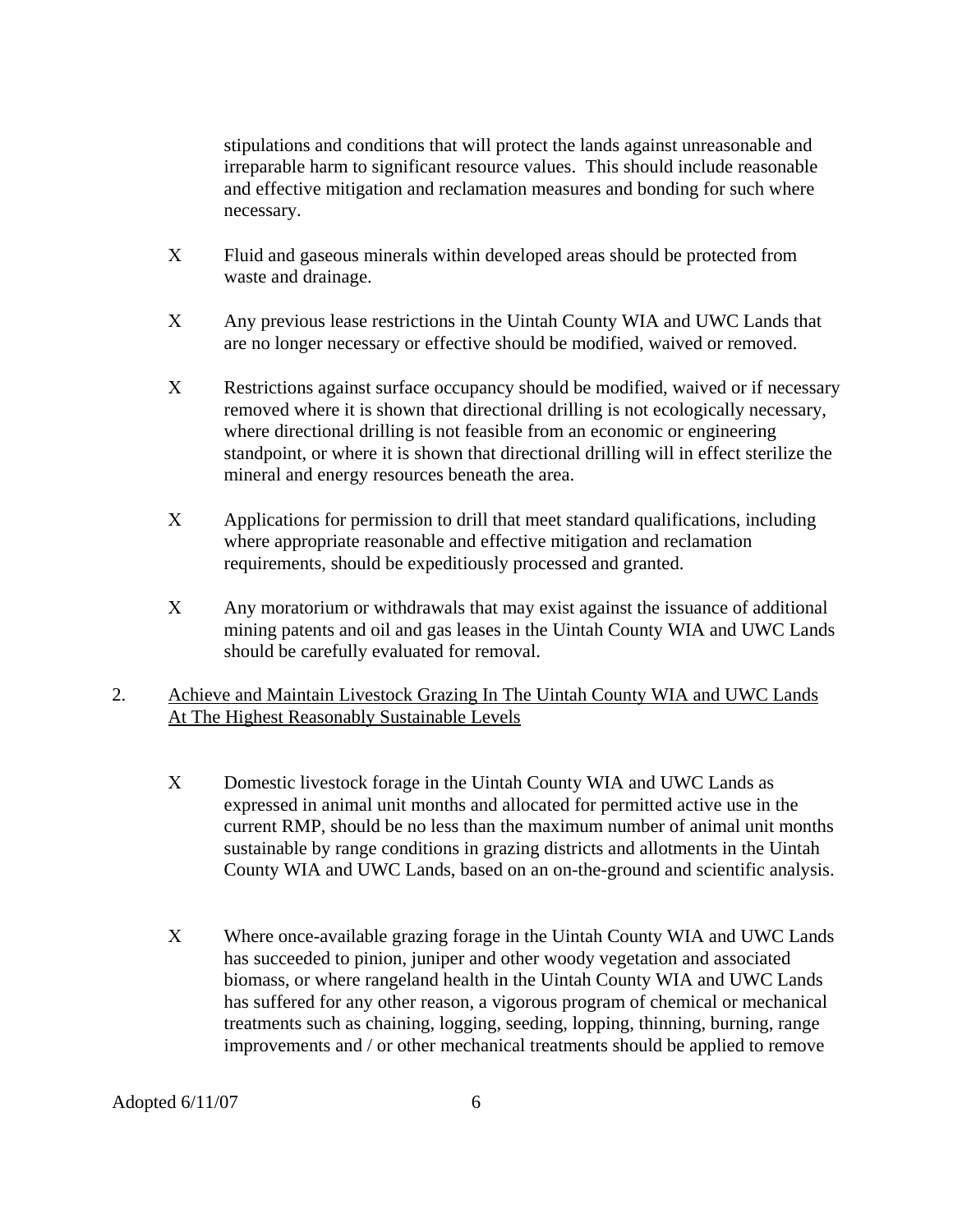stipulations and conditions that will protect the lands against unreasonable and irreparable harm to significant resource values. This should include reasonable and effective mitigation and reclamation measures and bonding for such where necessary.

- Χ Fluid and gaseous minerals within developed areas should be protected from waste and drainage.
- Χ Any previous lease restrictions in the Uintah County WIA and UWC Lands that are no longer necessary or effective should be modified, waived or removed.
- Χ Restrictions against surface occupancy should be modified, waived or if necessary removed where it is shown that directional drilling is not ecologically necessary, where directional drilling is not feasible from an economic or engineering standpoint, or where it is shown that directional drilling will in effect sterilize the mineral and energy resources beneath the area.
- Χ Applications for permission to drill that meet standard qualifications, including where appropriate reasonable and effective mitigation and reclamation requirements, should be expeditiously processed and granted.
- Χ Any moratorium or withdrawals that may exist against the issuance of additional mining patents and oil and gas leases in the Uintah County WIA and UWC Lands should be carefully evaluated for removal.
- 2. Achieve and Maintain Livestock Grazing In The Uintah County WIA and UWC Lands At The Highest Reasonably Sustainable Levels
	- Χ Domestic livestock forage in the Uintah County WIA and UWC Lands as expressed in animal unit months and allocated for permitted active use in the current RMP, should be no less than the maximum number of animal unit months sustainable by range conditions in grazing districts and allotments in the Uintah County WIA and UWC Lands, based on an on-the-ground and scientific analysis.
	- Χ Where once-available grazing forage in the Uintah County WIA and UWC Lands has succeeded to pinion, juniper and other woody vegetation and associated biomass, or where rangeland health in the Uintah County WIA and UWC Lands has suffered for any other reason, a vigorous program of chemical or mechanical treatments such as chaining, logging, seeding, lopping, thinning, burning, range improvements and / or other mechanical treatments should be applied to remove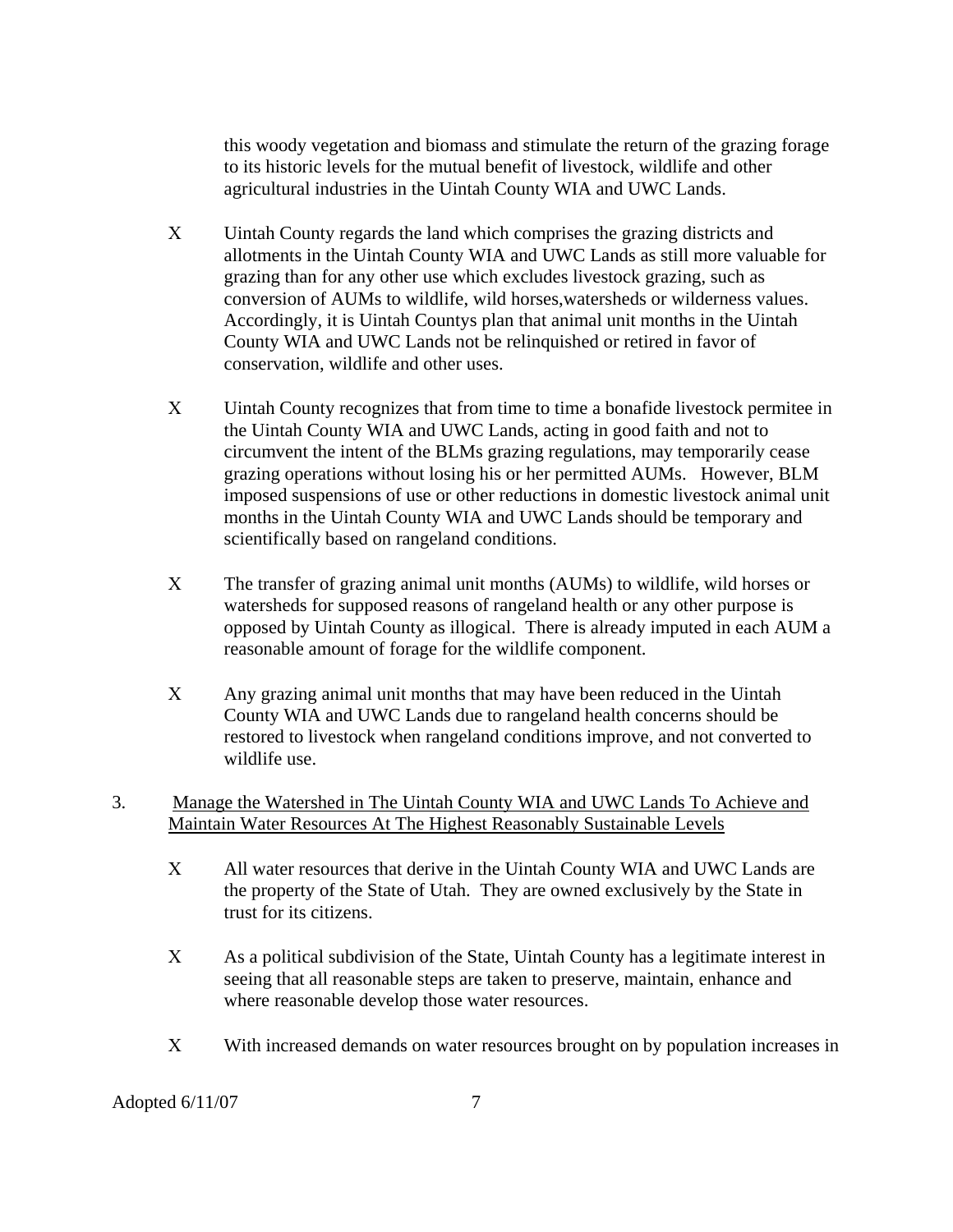this woody vegetation and biomass and stimulate the return of the grazing forage to its historic levels for the mutual benefit of livestock, wildlife and other agricultural industries in the Uintah County WIA and UWC Lands.

- Χ Uintah County regards the land which comprises the grazing districts and allotments in the Uintah County WIA and UWC Lands as still more valuable for grazing than for any other use which excludes livestock grazing, such as conversion of AUMs to wildlife, wild horses,watersheds or wilderness values. Accordingly, it is Uintah Countys plan that animal unit months in the Uintah County WIA and UWC Lands not be relinquished or retired in favor of conservation, wildlife and other uses.
- Χ Uintah County recognizes that from time to time a bonafide livestock permitee in the Uintah County WIA and UWC Lands, acting in good faith and not to circumvent the intent of the BLMs grazing regulations, may temporarily cease grazing operations without losing his or her permitted AUMs. However, BLM imposed suspensions of use or other reductions in domestic livestock animal unit months in the Uintah County WIA and UWC Lands should be temporary and scientifically based on rangeland conditions.
- Χ The transfer of grazing animal unit months (AUMs) to wildlife, wild horses or watersheds for supposed reasons of rangeland health or any other purpose is opposed by Uintah County as illogical. There is already imputed in each AUM a reasonable amount of forage for the wildlife component.
- Χ Any grazing animal unit months that may have been reduced in the Uintah County WIA and UWC Lands due to rangeland health concerns should be restored to livestock when rangeland conditions improve, and not converted to wildlife use.
- 3. Manage the Watershed in The Uintah County WIA and UWC Lands To Achieve and Maintain Water Resources At The Highest Reasonably Sustainable Levels
	- Χ All water resources that derive in the Uintah County WIA and UWC Lands are the property of the State of Utah. They are owned exclusively by the State in trust for its citizens.
	- Χ As a political subdivision of the State, Uintah County has a legitimate interest in seeing that all reasonable steps are taken to preserve, maintain, enhance and where reasonable develop those water resources.
	- X With increased demands on water resources brought on by population increases in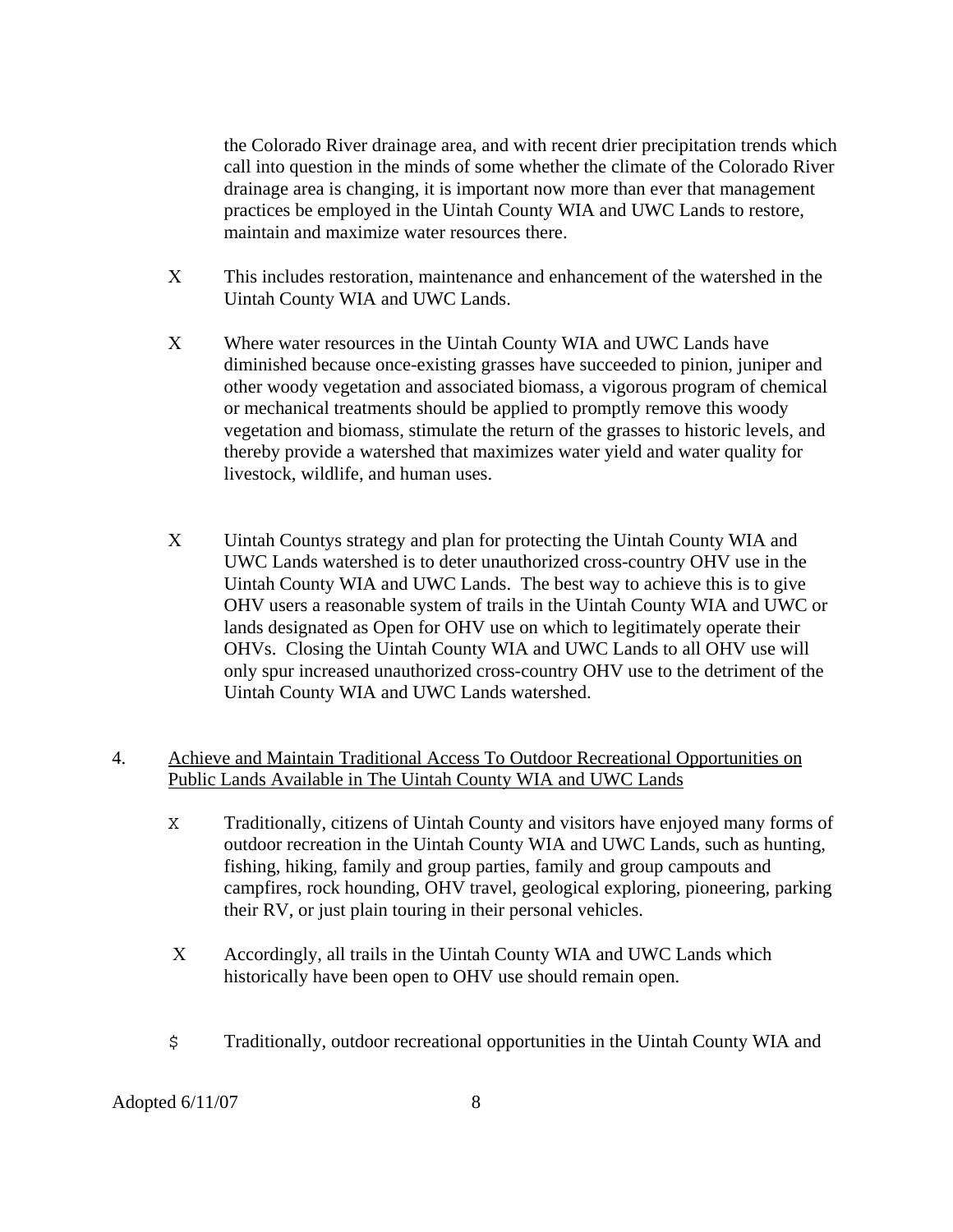the Colorado River drainage area, and with recent drier precipitation trends which call into question in the minds of some whether the climate of the Colorado River drainage area is changing, it is important now more than ever that management practices be employed in the Uintah County WIA and UWC Lands to restore, maintain and maximize water resources there.

- Χ This includes restoration, maintenance and enhancement of the watershed in the Uintah County WIA and UWC Lands.
- Χ Where water resources in the Uintah County WIA and UWC Lands have diminished because once-existing grasses have succeeded to pinion, juniper and other woody vegetation and associated biomass, a vigorous program of chemical or mechanical treatments should be applied to promptly remove this woody vegetation and biomass, stimulate the return of the grasses to historic levels, and thereby provide a watershed that maximizes water yield and water quality for livestock, wildlife, and human uses.
- Χ Uintah Countys strategy and plan for protecting the Uintah County WIA and UWC Lands watershed is to deter unauthorized cross-country OHV use in the Uintah County WIA and UWC Lands. The best way to achieve this is to give OHV users a reasonable system of trails in the Uintah County WIA and UWC or lands designated as Open for OHV use on which to legitimately operate their OHVs. Closing the Uintah County WIA and UWC Lands to all OHV use will only spur increased unauthorized cross-country OHV use to the detriment of the Uintah County WIA and UWC Lands watershed.

## 4. Achieve and Maintain Traditional Access To Outdoor Recreational Opportunities on Public Lands Available in The Uintah County WIA and UWC Lands

- X Traditionally, citizens of Uintah County and visitors have enjoyed many forms of outdoor recreation in the Uintah County WIA and UWC Lands, such as hunting, fishing, hiking, family and group parties, family and group campouts and campfires, rock hounding, OHV travel, geological exploring, pioneering, parking their RV, or just plain touring in their personal vehicles.
- Χ Accordingly, all trails in the Uintah County WIA and UWC Lands which historically have been open to OHV use should remain open.
- \$ Traditionally, outdoor recreational opportunities in the Uintah County WIA and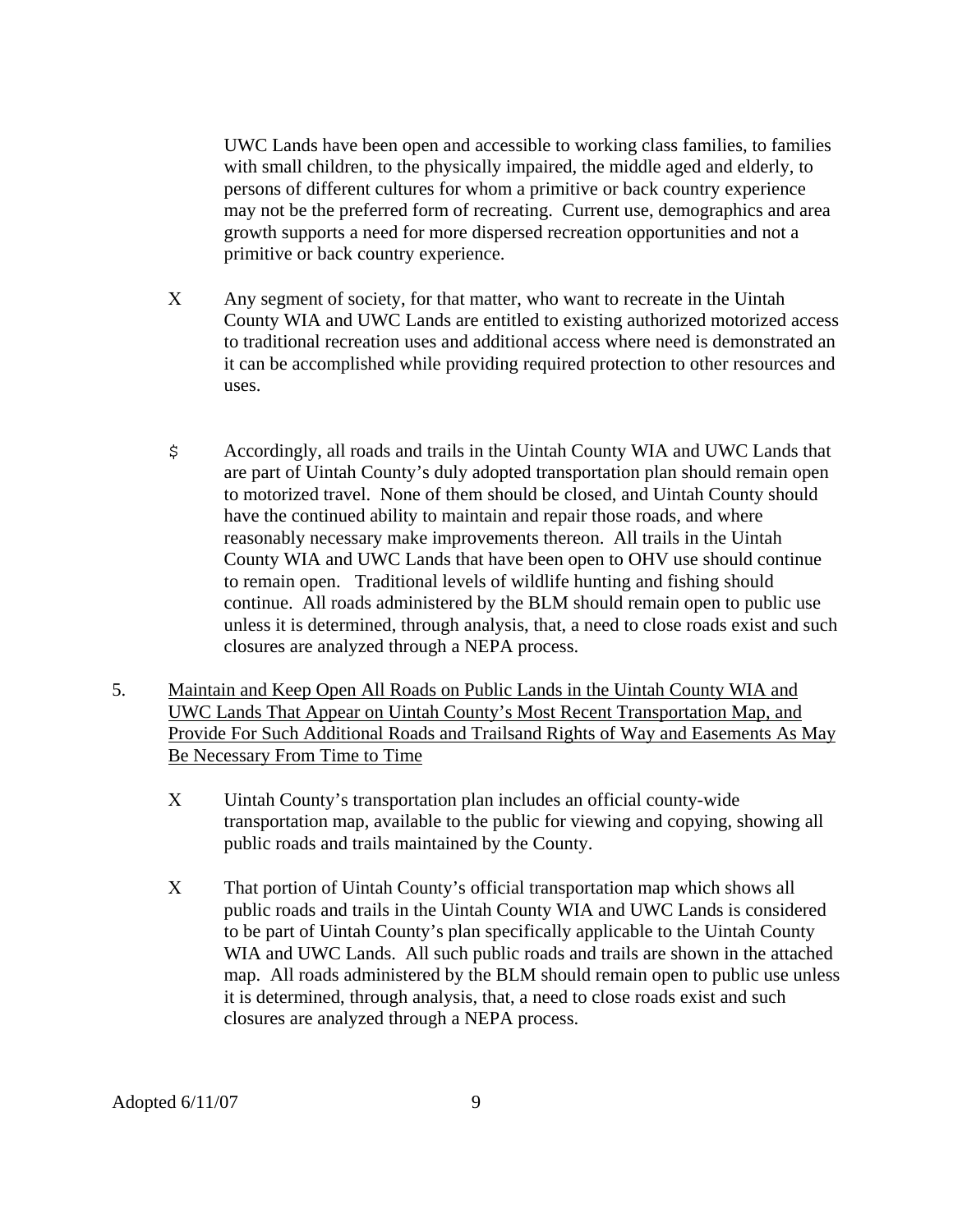UWC Lands have been open and accessible to working class families, to families with small children, to the physically impaired, the middle aged and elderly, to persons of different cultures for whom a primitive or back country experience may not be the preferred form of recreating. Current use, demographics and area growth supports a need for more dispersed recreation opportunities and not a primitive or back country experience.

- Χ Any segment of society, for that matter, who want to recreate in the Uintah County WIA and UWC Lands are entitled to existing authorized motorized access to traditional recreation uses and additional access where need is demonstrated an it can be accomplished while providing required protection to other resources and uses.
- \$ Accordingly, all roads and trails in the Uintah County WIA and UWC Lands that are part of Uintah County's duly adopted transportation plan should remain open to motorized travel. None of them should be closed, and Uintah County should have the continued ability to maintain and repair those roads, and where reasonably necessary make improvements thereon. All trails in the Uintah County WIA and UWC Lands that have been open to OHV use should continue to remain open. Traditional levels of wildlife hunting and fishing should continue. All roads administered by the BLM should remain open to public use unless it is determined, through analysis, that, a need to close roads exist and such closures are analyzed through a NEPA process.
- 5. Maintain and Keep Open All Roads on Public Lands in the Uintah County WIA and UWC Lands That Appear on Uintah County's Most Recent Transportation Map, and Provide For Such Additional Roads and Trailsand Rights of Way and Easements As May Be Necessary From Time to Time
	- Χ Uintah County's transportation plan includes an official county-wide transportation map, available to the public for viewing and copying, showing all public roads and trails maintained by the County.
	- Χ That portion of Uintah County's official transportation map which shows all public roads and trails in the Uintah County WIA and UWC Lands is considered to be part of Uintah County's plan specifically applicable to the Uintah County WIA and UWC Lands. All such public roads and trails are shown in the attached map. All roads administered by the BLM should remain open to public use unless it is determined, through analysis, that, a need to close roads exist and such closures are analyzed through a NEPA process.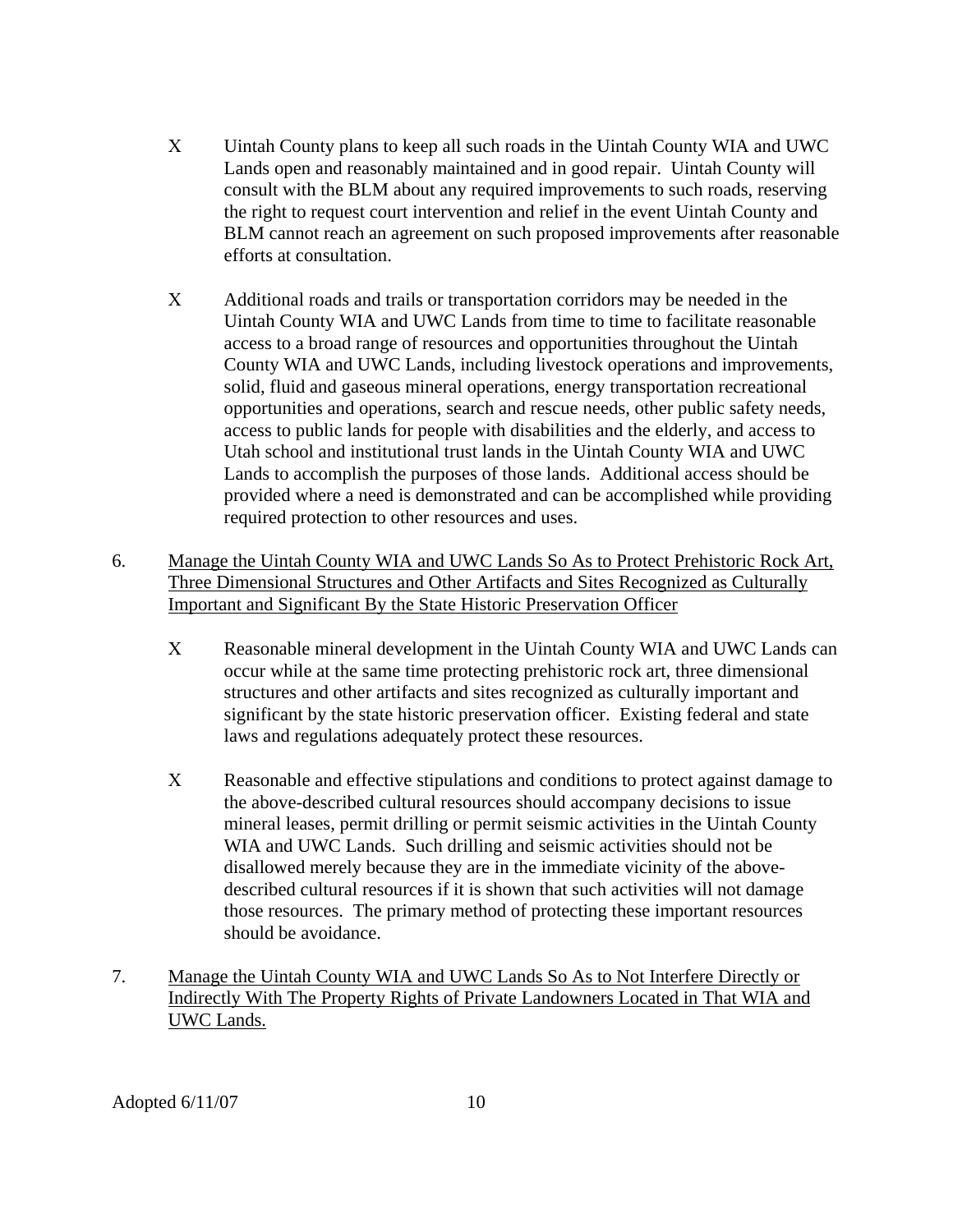- Χ Uintah County plans to keep all such roads in the Uintah County WIA and UWC Lands open and reasonably maintained and in good repair. Uintah County will consult with the BLM about any required improvements to such roads, reserving the right to request court intervention and relief in the event Uintah County and BLM cannot reach an agreement on such proposed improvements after reasonable efforts at consultation.
- Χ Additional roads and trails or transportation corridors may be needed in the Uintah County WIA and UWC Lands from time to time to facilitate reasonable access to a broad range of resources and opportunities throughout the Uintah County WIA and UWC Lands, including livestock operations and improvements, solid, fluid and gaseous mineral operations, energy transportation recreational opportunities and operations, search and rescue needs, other public safety needs, access to public lands for people with disabilities and the elderly, and access to Utah school and institutional trust lands in the Uintah County WIA and UWC Lands to accomplish the purposes of those lands. Additional access should be provided where a need is demonstrated and can be accomplished while providing required protection to other resources and uses.
- 6. Manage the Uintah County WIA and UWC Lands So As to Protect Prehistoric Rock Art, Three Dimensional Structures and Other Artifacts and Sites Recognized as Culturally Important and Significant By the State Historic Preservation Officer
	- Χ Reasonable mineral development in the Uintah County WIA and UWC Lands can occur while at the same time protecting prehistoric rock art, three dimensional structures and other artifacts and sites recognized as culturally important and significant by the state historic preservation officer. Existing federal and state laws and regulations adequately protect these resources.
	- Χ Reasonable and effective stipulations and conditions to protect against damage to the above-described cultural resources should accompany decisions to issue mineral leases, permit drilling or permit seismic activities in the Uintah County WIA and UWC Lands. Such drilling and seismic activities should not be disallowed merely because they are in the immediate vicinity of the abovedescribed cultural resources if it is shown that such activities will not damage those resources. The primary method of protecting these important resources should be avoidance.
- 7. Manage the Uintah County WIA and UWC Lands So As to Not Interfere Directly or Indirectly With The Property Rights of Private Landowners Located in That WIA and UWC Lands.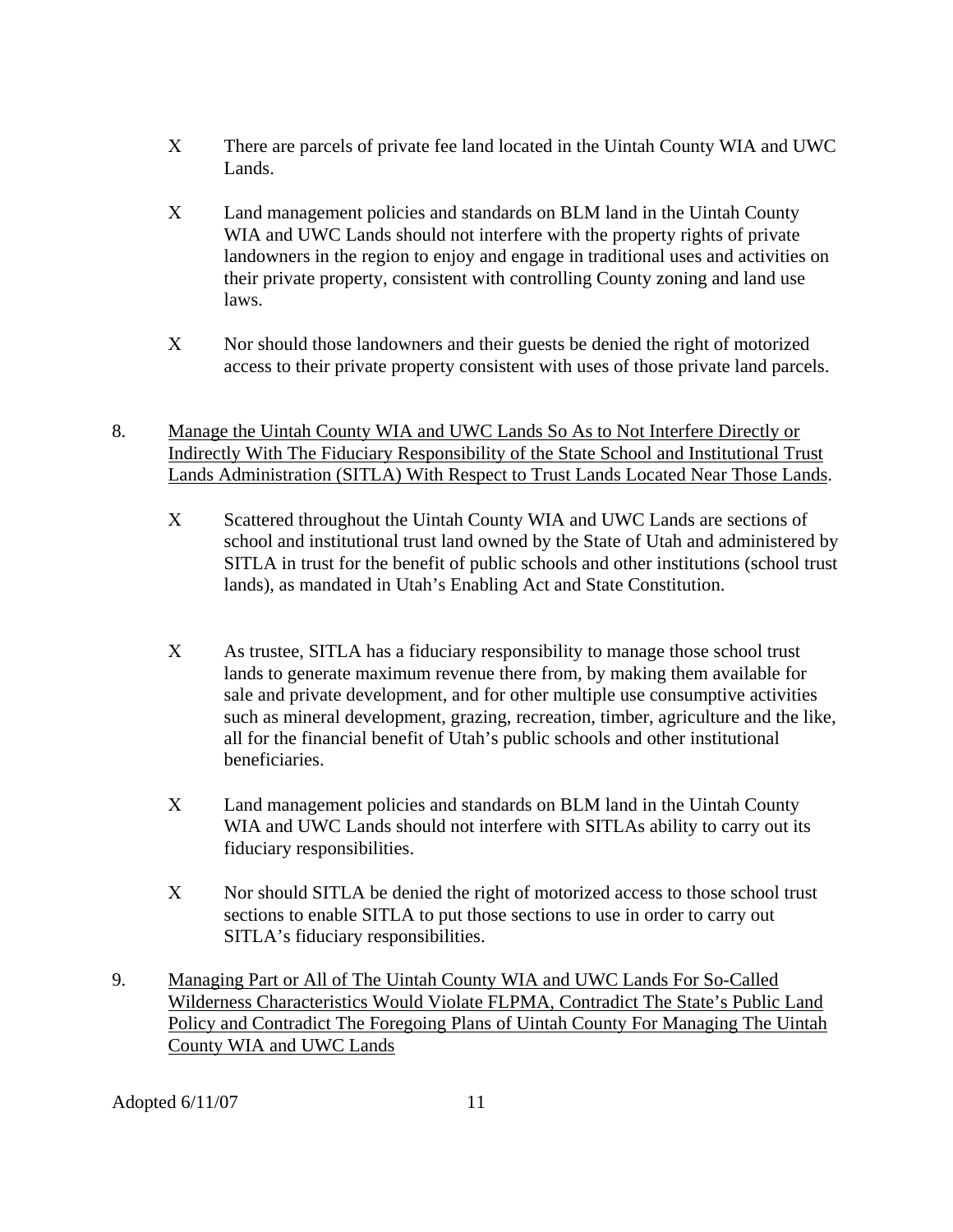- Χ There are parcels of private fee land located in the Uintah County WIA and UWC Lands.
- Χ Land management policies and standards on BLM land in the Uintah County WIA and UWC Lands should not interfere with the property rights of private landowners in the region to enjoy and engage in traditional uses and activities on their private property, consistent with controlling County zoning and land use laws.
- Χ Nor should those landowners and their guests be denied the right of motorized access to their private property consistent with uses of those private land parcels.
- 8. Manage the Uintah County WIA and UWC Lands So As to Not Interfere Directly or Indirectly With The Fiduciary Responsibility of the State School and Institutional Trust Lands Administration (SITLA) With Respect to Trust Lands Located Near Those Lands.
	- Χ Scattered throughout the Uintah County WIA and UWC Lands are sections of school and institutional trust land owned by the State of Utah and administered by SITLA in trust for the benefit of public schools and other institutions (school trust lands), as mandated in Utah's Enabling Act and State Constitution.
	- Χ As trustee, SITLA has a fiduciary responsibility to manage those school trust lands to generate maximum revenue there from, by making them available for sale and private development, and for other multiple use consumptive activities such as mineral development, grazing, recreation, timber, agriculture and the like, all for the financial benefit of Utah's public schools and other institutional beneficiaries.
	- Χ Land management policies and standards on BLM land in the Uintah County WIA and UWC Lands should not interfere with SITLAs ability to carry out its fiduciary responsibilities.
	- Χ Nor should SITLA be denied the right of motorized access to those school trust sections to enable SITLA to put those sections to use in order to carry out SITLA's fiduciary responsibilities.
- 9. Managing Part or All of The Uintah County WIA and UWC Lands For So-Called Wilderness Characteristics Would Violate FLPMA, Contradict The State's Public Land Policy and Contradict The Foregoing Plans of Uintah County For Managing The Uintah County WIA and UWC Lands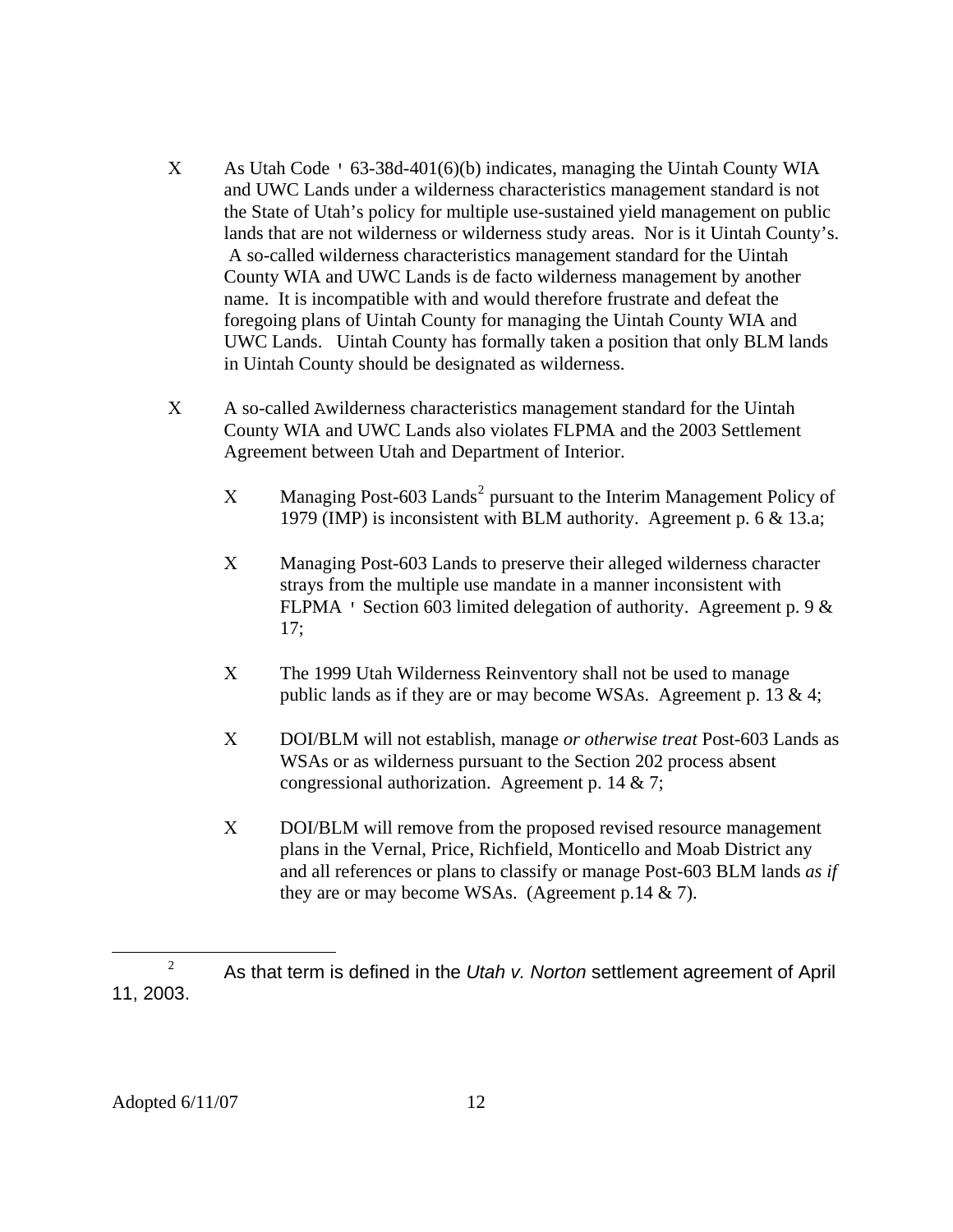- Χ As Utah Code ' 63-38d-401(6)(b) indicates, managing the Uintah County WIA and UWC Lands under a wilderness characteristics management standard is not the State of Utah's policy for multiple use-sustained yield management on public lands that are not wilderness or wilderness study areas. Nor is it Uintah County's. A so-called wilderness characteristics management standard for the Uintah County WIA and UWC Lands is de facto wilderness management by another name. It is incompatible with and would therefore frustrate and defeat the foregoing plans of Uintah County for managing the Uintah County WIA and UWC Lands. Uintah County has formally taken a position that only BLM lands in Uintah County should be designated as wilderness.
- Χ A so-called Awilderness characteristics management standard for the Uintah County WIA and UWC Lands also violates FLPMA and the 2003 Settlement Agreement between Utah and Department of Interior.
	- $X$  Managing Post-603 Lands<sup>[2](#page-11-0)</sup> pursuant to the Interim Management Policy of 1979 (IMP) is inconsistent with BLM authority. Agreement p. 6 & 13.a;
	- Χ Managing Post-603 Lands to preserve their alleged wilderness character strays from the multiple use mandate in a manner inconsistent with FLPMA ' Section 603 limited delegation of authority. Agreement p. 9 & 17;
	- Χ The 1999 Utah Wilderness Reinventory shall not be used to manage public lands as if they are or may become WSAs. Agreement p. 13 & 4;
	- Χ DOI/BLM will not establish, manage *or otherwise treat* Post-603 Lands as WSAs or as wilderness pursuant to the Section 202 process absent congressional authorization. Agreement p. 14 & 7;
	- Χ DOI/BLM will remove from the proposed revised resource management plans in the Vernal, Price, Richfield, Monticello and Moab District any and all references or plans to classify or manage Post-603 BLM lands *as if*  they are or may become WSAs. (Agreement p.14 & 7).

<span id="page-11-0"></span> $\overline{a}$ 2 As that term is defined in the *Utah v. Norton* settlement agreement of April 11, 2003.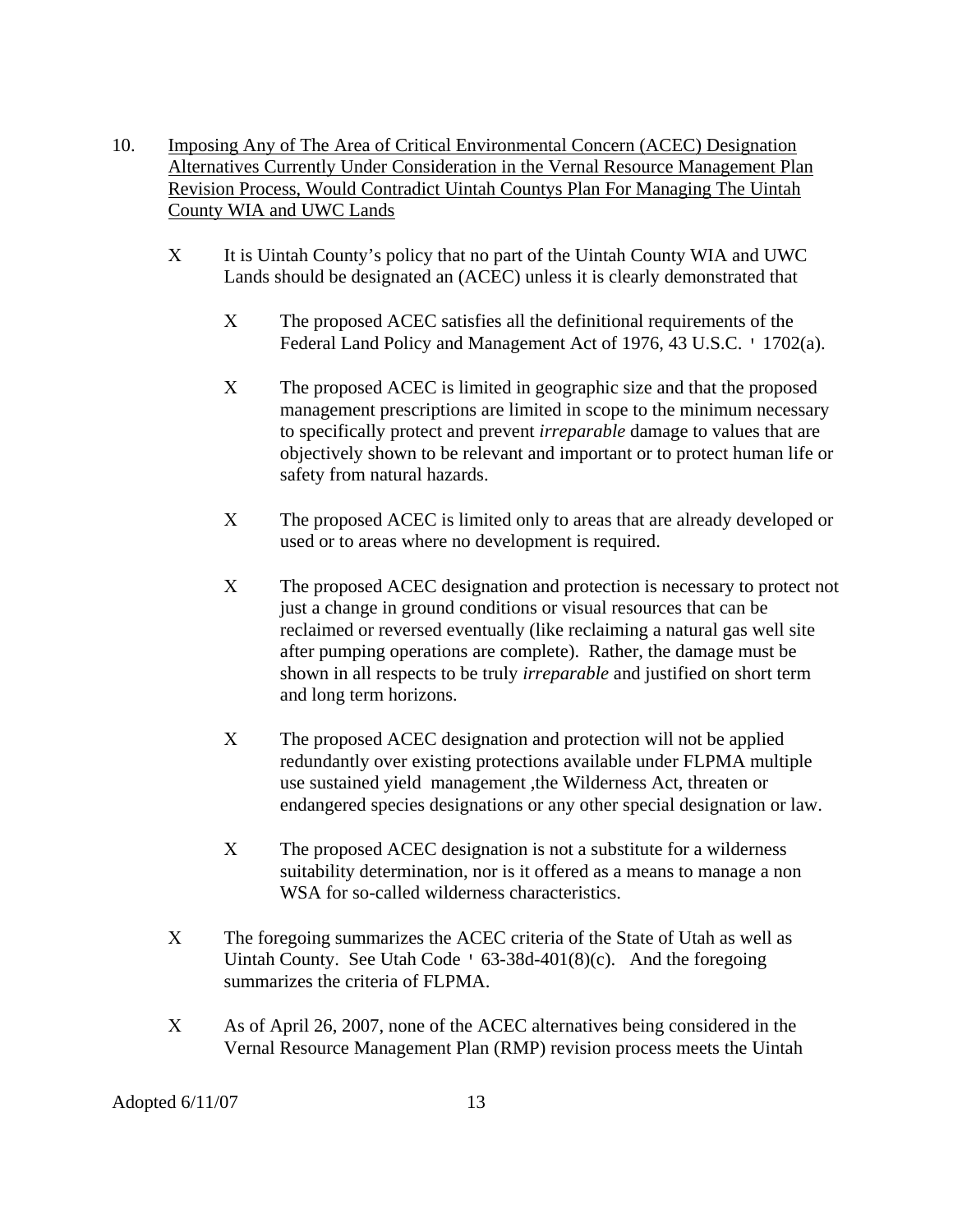- 10. Imposing Any of The Area of Critical Environmental Concern (ACEC) Designation Alternatives Currently Under Consideration in the Vernal Resource Management Plan Revision Process, Would Contradict Uintah Countys Plan For Managing The Uintah County WIA and UWC Lands
	- Χ It is Uintah County's policy that no part of the Uintah County WIA and UWC Lands should be designated an (ACEC) unless it is clearly demonstrated that
		- Χ The proposed ACEC satisfies all the definitional requirements of the Federal Land Policy and Management Act of 1976, 43 U.S.C. ' 1702(a).
		- Χ The proposed ACEC is limited in geographic size and that the proposed management prescriptions are limited in scope to the minimum necessary to specifically protect and prevent *irreparable* damage to values that are objectively shown to be relevant and important or to protect human life or safety from natural hazards.
		- Χ The proposed ACEC is limited only to areas that are already developed or used or to areas where no development is required.
		- Χ The proposed ACEC designation and protection is necessary to protect not just a change in ground conditions or visual resources that can be reclaimed or reversed eventually (like reclaiming a natural gas well site after pumping operations are complete). Rather, the damage must be shown in all respects to be truly *irreparable* and justified on short term and long term horizons.
		- Χ The proposed ACEC designation and protection will not be applied redundantly over existing protections available under FLPMA multiple use sustained yield management ,the Wilderness Act, threaten or endangered species designations or any other special designation or law.
		- X The proposed ACEC designation is not a substitute for a wilderness suitability determination, nor is it offered as a means to manage a non WSA for so-called wilderness characteristics.
	- Χ The foregoing summarizes the ACEC criteria of the State of Utah as well as Uintah County. See Utah Code  $\cdot$  63-38d-401(8)(c). And the foregoing summarizes the criteria of FLPMA.
	- Χ As of April 26, 2007, none of the ACEC alternatives being considered in the Vernal Resource Management Plan (RMP) revision process meets the Uintah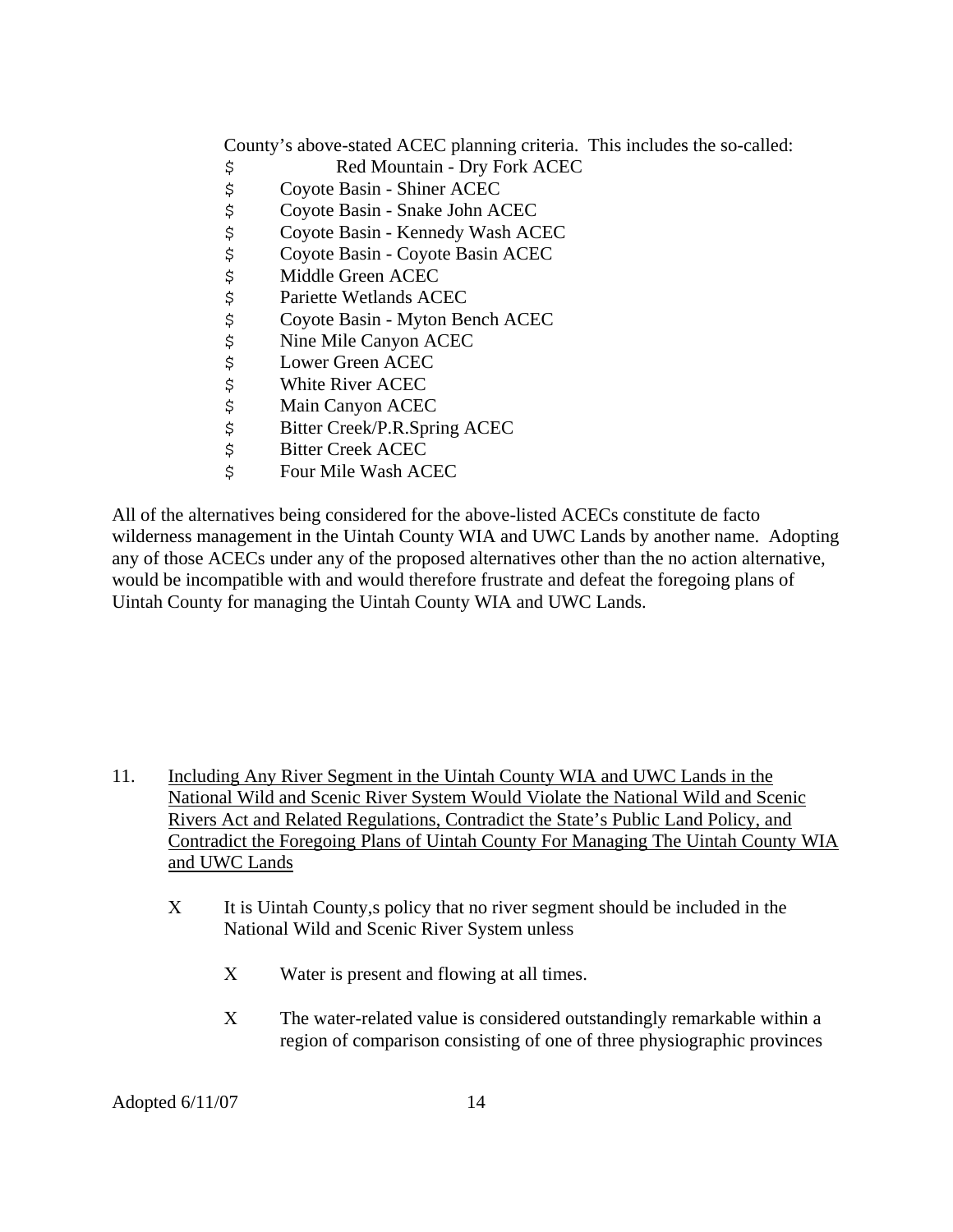County's above-stated ACEC planning criteria. This includes the so-called:

- \$ Red Mountain Dry Fork ACEC
- \$ Coyote Basin Shiner ACEC
- 
- \$ Coyote Basin Snake John ACEC \$ Coyote Basin - Kennedy Wash ACEC<br>\$ Coyote Basin - Coyote Basin ACEC
- \$ Coyote Basin Coyote Basin ACEC<br>\$ Middle Green ACEC<br>\$ Pariette Wetlands ACEC
- Middle Green ACEC
- Pariette Wetlands ACEC
- \$ Coyote Basin Myton Bench ACEC<br>\$ Nine Mile Canyon ACEC<br>\$ Lower Green ACEC
- Nine Mile Canyon ACEC
- Lower Green ACEC
- \$ White River ACEC<br>\$ Main Canyon ACEC<br>\$ Bitter Creek/P.R.Sp:<br>\$ Bitter Creek ACEC
- **Main Canyon ACEC**
- Bitter Creek/P.R.Spring ACEC
- **Bitter Creek ACEC**
- \$ Four Mile Wash ACEC

All of the alternatives being considered for the above-listed ACECs constitute de facto wilderness management in the Uintah County WIA and UWC Lands by another name. Adopting any of those ACECs under any of the proposed alternatives other than the no action alternative, would be incompatible with and would therefore frustrate and defeat the foregoing plans of Uintah County for managing the Uintah County WIA and UWC Lands.

- 11. Including Any River Segment in the Uintah County WIA and UWC Lands in the National Wild and Scenic River System Would Violate the National Wild and Scenic Rivers Act and Related Regulations, Contradict the State's Public Land Policy, and Contradict the Foregoing Plans of Uintah County For Managing The Uintah County WIA and UWC Lands
	- Χ It is Uintah County,s policy that no river segment should be included in the National Wild and Scenic River System unless
		- Χ Water is present and flowing at all times.
		- X The water-related value is considered outstandingly remarkable within a region of comparison consisting of one of three physiographic provinces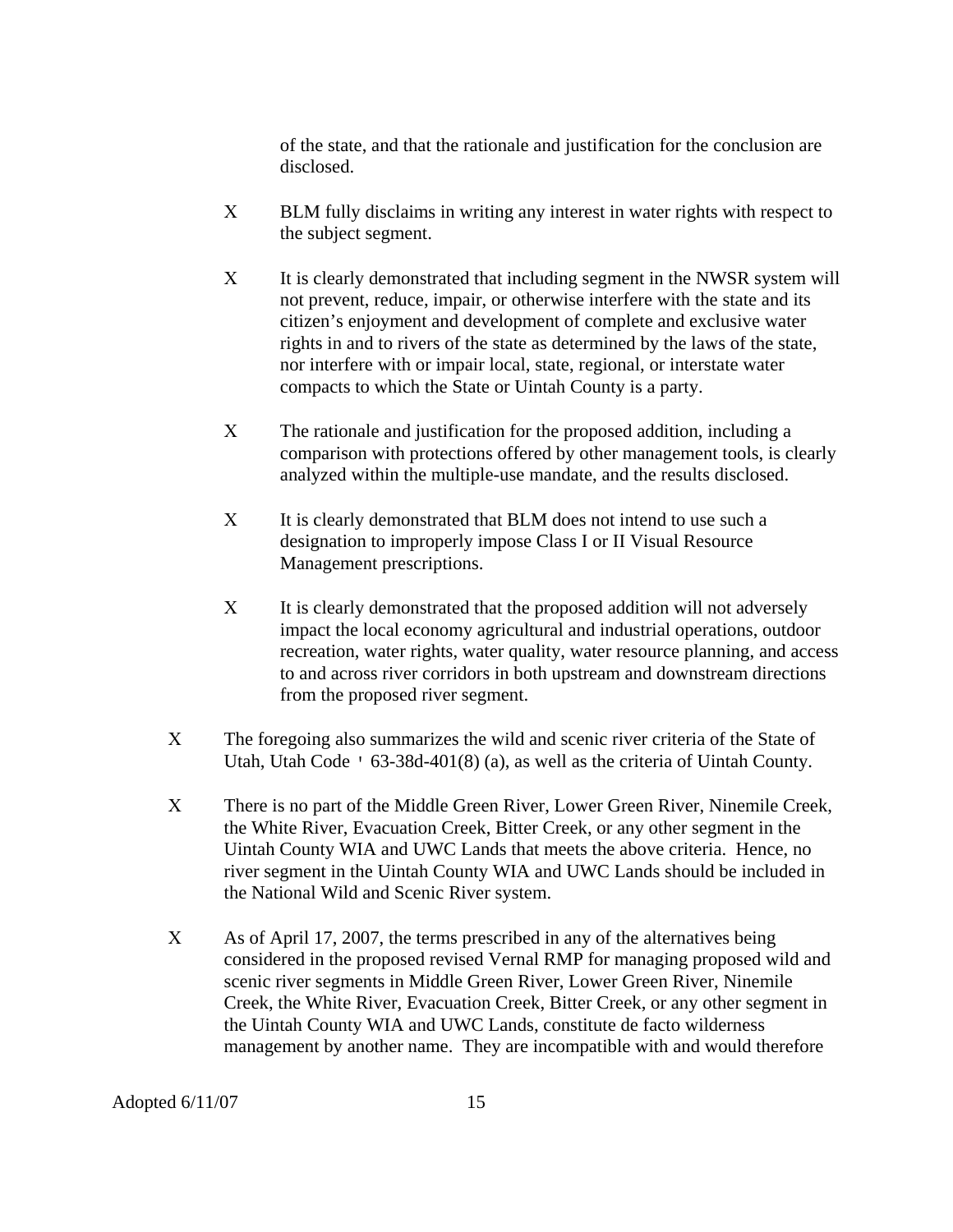of the state, and that the rationale and justification for the conclusion are disclosed.

- Χ BLM fully disclaims in writing any interest in water rights with respect to the subject segment.
- X It is clearly demonstrated that including segment in the NWSR system will not prevent, reduce, impair, or otherwise interfere with the state and its citizen's enjoyment and development of complete and exclusive water rights in and to rivers of the state as determined by the laws of the state, nor interfere with or impair local, state, regional, or interstate water compacts to which the State or Uintah County is a party.
- Χ The rationale and justification for the proposed addition, including a comparison with protections offered by other management tools, is clearly analyzed within the multiple-use mandate, and the results disclosed.
- X It is clearly demonstrated that BLM does not intend to use such a designation to improperly impose Class I or II Visual Resource Management prescriptions.
- Χ It is clearly demonstrated that the proposed addition will not adversely impact the local economy agricultural and industrial operations, outdoor recreation, water rights, water quality, water resource planning, and access to and across river corridors in both upstream and downstream directions from the proposed river segment.
- X The foregoing also summarizes the wild and scenic river criteria of the State of Utah, Utah Code ' 63-38d-401(8) (a), as well as the criteria of Uintah County.
- Χ There is no part of the Middle Green River, Lower Green River, Ninemile Creek, the White River, Evacuation Creek, Bitter Creek, or any other segment in the Uintah County WIA and UWC Lands that meets the above criteria. Hence, no river segment in the Uintah County WIA and UWC Lands should be included in the National Wild and Scenic River system.
- Χ As of April 17, 2007, the terms prescribed in any of the alternatives being considered in the proposed revised Vernal RMP for managing proposed wild and scenic river segments in Middle Green River, Lower Green River, Ninemile Creek, the White River, Evacuation Creek, Bitter Creek, or any other segment in the Uintah County WIA and UWC Lands, constitute de facto wilderness management by another name. They are incompatible with and would therefore